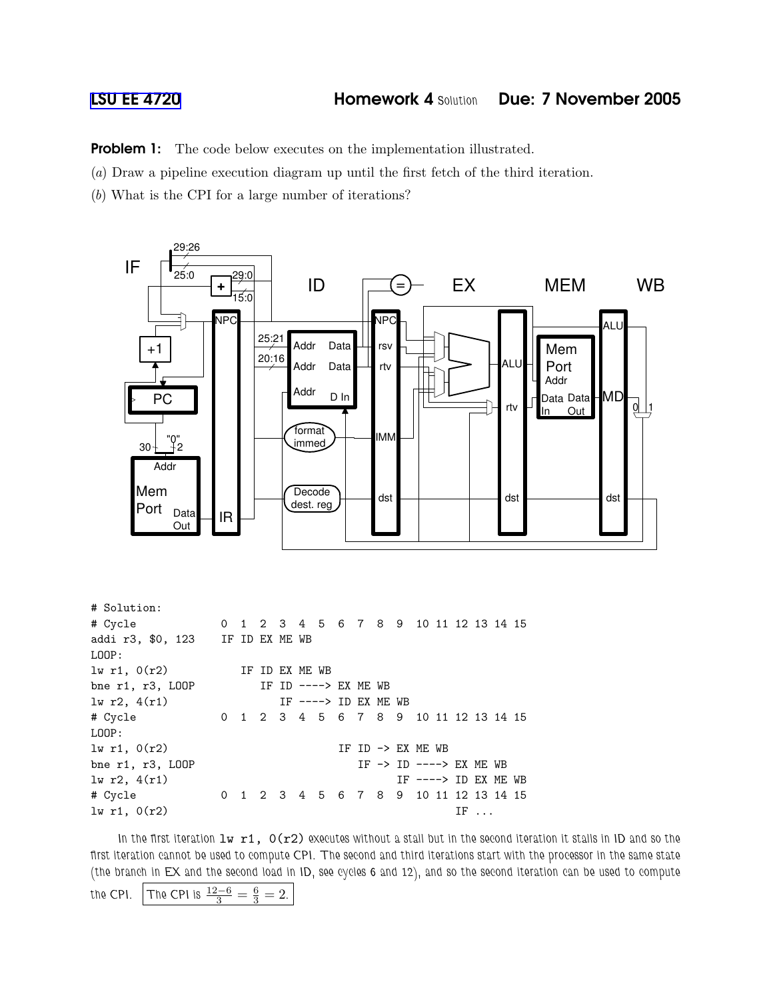**Problem 1:** The code below executes on the implementation illustrated.

(a) Draw a pipeline execution diagram up until the first fetch of the third iteration.

(b) What is the CPI for a large number of iterations?



# Solution: # Cycle 0 1 2 3 4 5 6 7 8 9 10 11 12 13 14 15 addi r3, \$0, 123 IF ID EX ME WB LOOP: lw r1, 0(r2) IF ID EX ME WB bne r1, r3, LOOP IF ID ----> EX ME WB  $1w r2$ ,  $4(r1)$  IF ----> ID EX ME WB # Cycle 0 1 2 3 4 5 6 7 8 9 10 11 12 13 14 15 LOOP:  $\text{lw } r1$ ,  $0(r2)$  IF ID -> EX ME WB bne r1, r3, LOOP IF -> ID ----> EX ME WB lw r2, 4(r1) IF ----> ID EX ME WB # Cycle 0 1 2 3 4 5 6 7 8 9 10 11 12 13 14 15  $\ln r1, 0(r2)$  IF ...

In the first iteration  $1w$   $r1$ ,  $O(r2)$  executes without a stall but in the second iteration it stalls in ID and so the first iteration cannot be used to compute CPI. The second and third iterations start with the processor in the same state (the branch in EX and the second load in ID, see cycles 6 and 12), and so the second iteration can be used to compute

```
the CPI. The CPI is \frac{12-6}{3} = \frac{6}{3} = 2.
```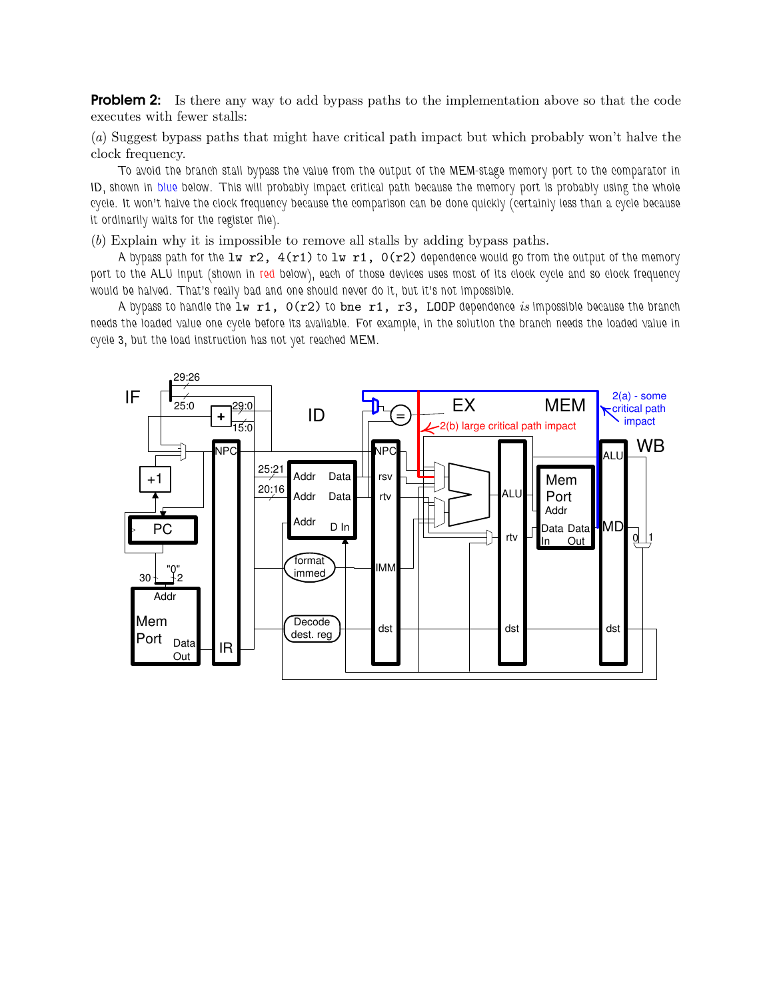**Problem 2:** Is there any way to add bypass paths to the implementation above so that the code executes with fewer stalls:

(a) Suggest bypass paths that might have critical path impact but which probably won't halve the clock frequency.

To avoid the branch stall bypass the value from the output of the MEM-stage memory port to the comparator in ID, shown in blue below. This will probably impact critical path because the memory port is probably using the whole cycle. It won't halve the clock frequency because the comparison can be done quickly (certainly less than a cycle because it ordinarily waits for the register file).

(b) Explain why it is impossible to remove all stalls by adding bypass paths.

A bypass path for the lw r2,  $4(r1)$  to lw r1,  $0(r2)$  dependence would go from the output of the memory port to the ALU input (shown in red below), each of those devices uses most of its clock cycle and so clock frequency would be halved. That's really bad and one should never do it, but it's not impossible.

A bypass to handle the  $1w$  r1,  $O(r2)$  to bne r1, r3, LOOP dependence is impossible because the branch needs the loaded value one cycle before its available. For example, in the solution the branch needs the loaded value in cycle 3, but the load instruction has not yet reached MEM.